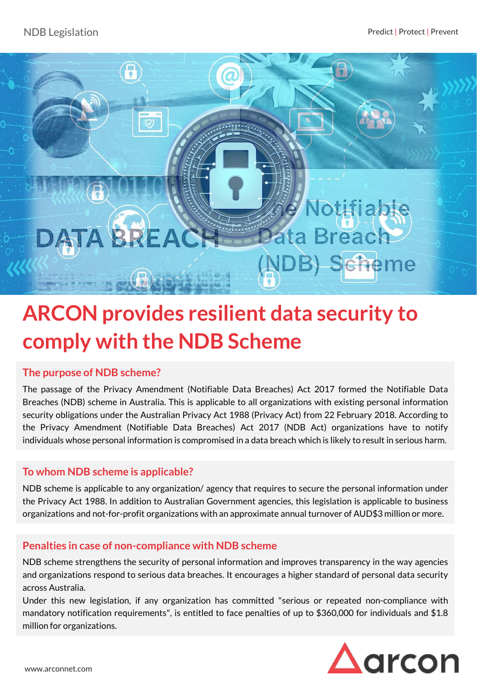

# **ARCON provides resilient data security to comply with the NDB Scheme**

#### **The purpose of NDB scheme?**

The passage of the Privacy Amendment (Notifiable Data Breaches) Act 2017 formed the Notifiable Data Breaches (NDB) scheme in Australia. This is applicable to all organizations with existing personal information security obligations under the Australian Privacy Act 1988 (Privacy Act) from 22 February 2018. According to the Privacy Amendment (Notifiable Data Breaches) Act 2017 (NDB Act) organizations have to notify individuals whose personal information is compromised in a data breach which is likely to result in serious harm.

#### **To whom NDB scheme is applicable?**

NDB scheme is applicable to any organization/ agency that requires to secure the personal information under the Privacy Act 1988. In addition to Australian Government agencies, this legislation is applicable to business organizations and not-for-profit organizations with an approximate annual turnover of AUD\$3 million or more.

#### **Penalties in case of non-compliance with NDB scheme**

NDB scheme strengthens the security of personal information and improves transparency in the way agencies and organizations respond to serious data breaches. It encourages a higher standard of personal data security across Australia.

Under this new legislation, if any organization has committed "serious or repeated non-compliance with mandatory notification requirements", is entitled to face penalties of up to \$360,000 for individuals and \$1.8 million for organizations.

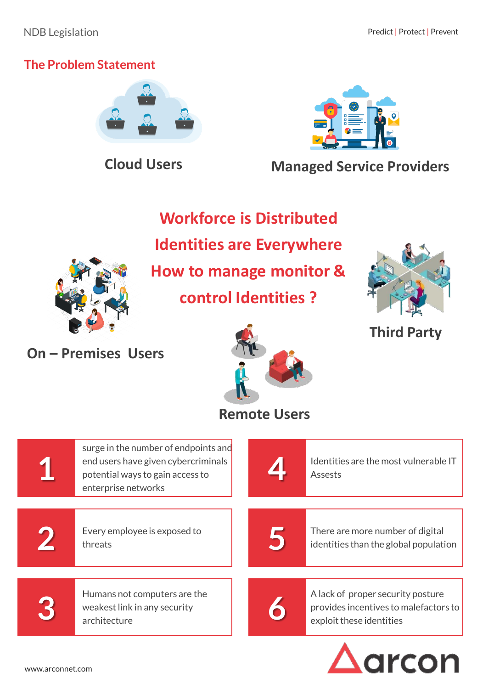## **The Problem Statement**

**On – Premises Users**





**Cloud Users Managed Service Providers**

**Workforce is Distributed Identities are Everywhere How to manage monitor &** 

**control Identities ?** 



**Third Party** 



## **Remote Users**

| surge in the number of endpoints and<br>end users have given cybercriminals<br>potential ways to gain access to<br>enterprise networks |  | Identities are the most vulnerable IT<br>Assests                                                       |
|----------------------------------------------------------------------------------------------------------------------------------------|--|--------------------------------------------------------------------------------------------------------|
|                                                                                                                                        |  |                                                                                                        |
| Every employee is exposed to<br>threats                                                                                                |  | There are more number of digital<br>identities than the global population                              |
|                                                                                                                                        |  |                                                                                                        |
| Humans not computers are the<br>weakest link in any security<br>architecture                                                           |  | A lack of proper security posture<br>provides incentives to malefactors to<br>exploit these identities |

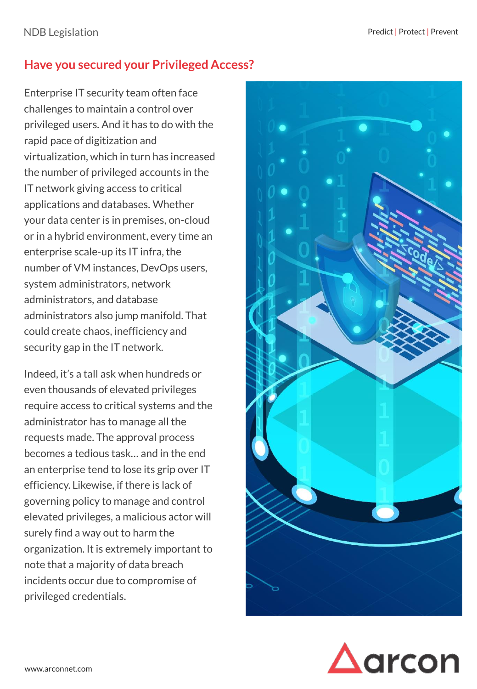## **Have you secured your Privileged Access?**

Enterprise IT security team often face challenges to maintain a control over privileged users. And it has to do with the rapid pace of digitization and virtualization, which in turn has increased the number of privileged accounts in the IT network giving access to critical applications and databases. Whether your data center is in premises, on-cloud or in a hybrid environment, every time an enterprise scale-up its IT infra, the number of VM instances, DevOps users, system administrators, network administrators, and database administrators also jump manifold. That could create chaos, inefficiency and security gap in the IT network.

Indeed, it's a tall ask when hundreds or even thousands of elevated privileges require access to critical systems and the administrator has to manage all the requests made. The approval process becomes a tedious task… and in the end an enterprise tend to lose its grip over IT efficiency. Likewise, if there is lack of governing policy to manage and control elevated privileges, a malicious actor will surely find a way out to harm the organization. It is extremely important to note that a majority of data breach incidents occur due to compromise of privileged credentials.



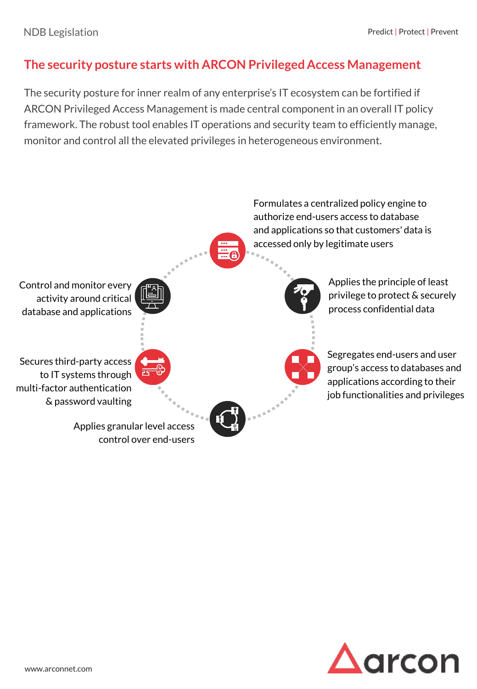## **The security posture starts with ARCON Privileged Access Management**

The security posture for inner realm of any enterprise's IT ecosystem can be fortified if ARCON Privileged Access Management is made central component in an overall IT policy framework. The robust tool enables IT operations and security team to efficiently manage, monitor and control all the elevated privileges in heterogeneous environment.